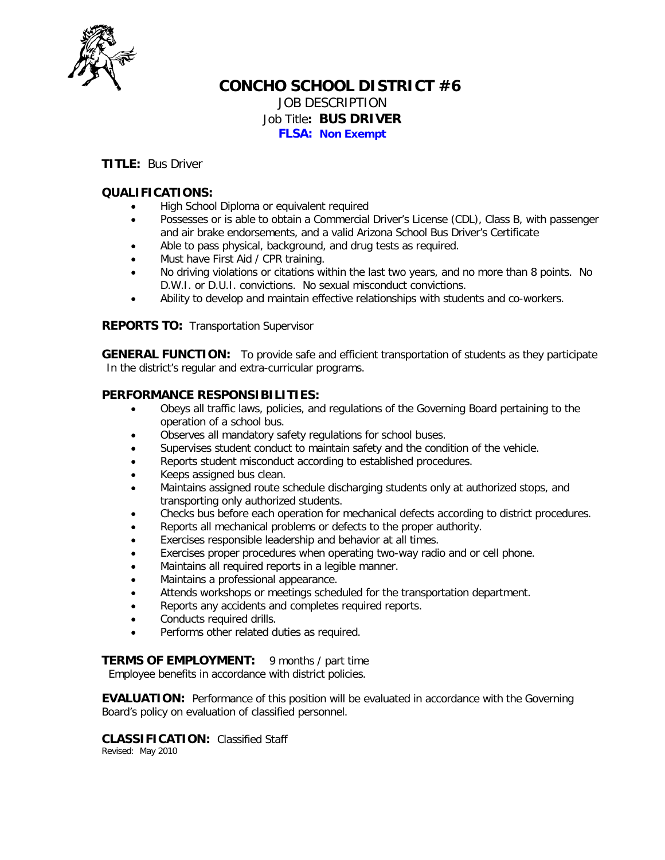

# **CONCHO SCHOOL DISTRICT #6** JOB DESCRIPTION Job Title**: BUS DRIVER**

**FLSA: Non Exempt**

### **TITLE:** Bus Driver

## **QUALIFICATIONS:**

- High School Diploma or equivalent required
- Possesses or is able to obtain a Commercial Driver's License (CDL), Class B, with passenger and air brake endorsements, and a valid Arizona School Bus Driver's Certificate
- Able to pass physical, background, and drug tests as required.
- Must have First Aid / CPR training.
- No driving violations or citations within the last two years, and no more than 8 points. No D.W.I. or D.U.I. convictions. No sexual misconduct convictions.
- Ability to develop and maintain effective relationships with students and co-workers.

**REPORTS TO:** Transportation Supervisor

**GENERAL FUNCTION:** To provide safe and efficient transportation of students as they participate In the district's regular and extra-curricular programs.

#### **PERFORMANCE RESPONSIBILITIES:**

- Obeys all traffic laws, policies, and regulations of the Governing Board pertaining to the operation of a school bus.
- Observes all mandatory safety regulations for school buses.
- Supervises student conduct to maintain safety and the condition of the vehicle.
- Reports student misconduct according to established procedures.
- Keeps assigned bus clean.
- Maintains assigned route schedule discharging students only at authorized stops, and transporting only authorized students.
- Checks bus before each operation for mechanical defects according to district procedures.
- Reports all mechanical problems or defects to the proper authority.
- Exercises responsible leadership and behavior at all times.
- Exercises proper procedures when operating two-way radio and or cell phone.
- Maintains all required reports in a legible manner.
- Maintains a professional appearance.
- Attends workshops or meetings scheduled for the transportation department.
- Reports any accidents and completes required reports.
- Conducts required drills.
- Performs other related duties as required.

**TERMS OF EMPLOYMENT:** 9 months / part time

Employee benefits in accordance with district policies.

**EVALUATION:** Performance of this position will be evaluated in accordance with the Governing Board's policy on evaluation of classified personnel.

**CLASSIFICATION:** Classified Staff Revised: May 2010